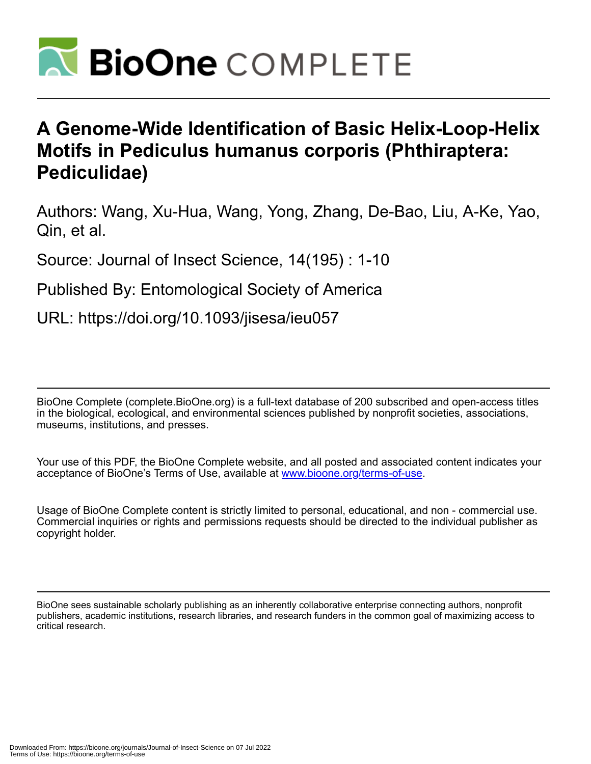

# **A Genome-Wide Identification of Basic Helix-Loop-Helix Motifs in Pediculus humanus corporis (Phthiraptera: Pediculidae)**

Authors: Wang, Xu-Hua, Wang, Yong, Zhang, De-Bao, Liu, A-Ke, Yao, Qin, et al.

Source: Journal of Insect Science, 14(195) : 1-10

Published By: Entomological Society of America

URL: https://doi.org/10.1093/jisesa/ieu057

BioOne Complete (complete.BioOne.org) is a full-text database of 200 subscribed and open-access titles in the biological, ecological, and environmental sciences published by nonprofit societies, associations, museums, institutions, and presses.

Your use of this PDF, the BioOne Complete website, and all posted and associated content indicates your acceptance of BioOne's Terms of Use, available at www.bioone.org/terms-of-use.

Usage of BioOne Complete content is strictly limited to personal, educational, and non - commercial use. Commercial inquiries or rights and permissions requests should be directed to the individual publisher as copyright holder.

BioOne sees sustainable scholarly publishing as an inherently collaborative enterprise connecting authors, nonprofit publishers, academic institutions, research libraries, and research funders in the common goal of maximizing access to critical research.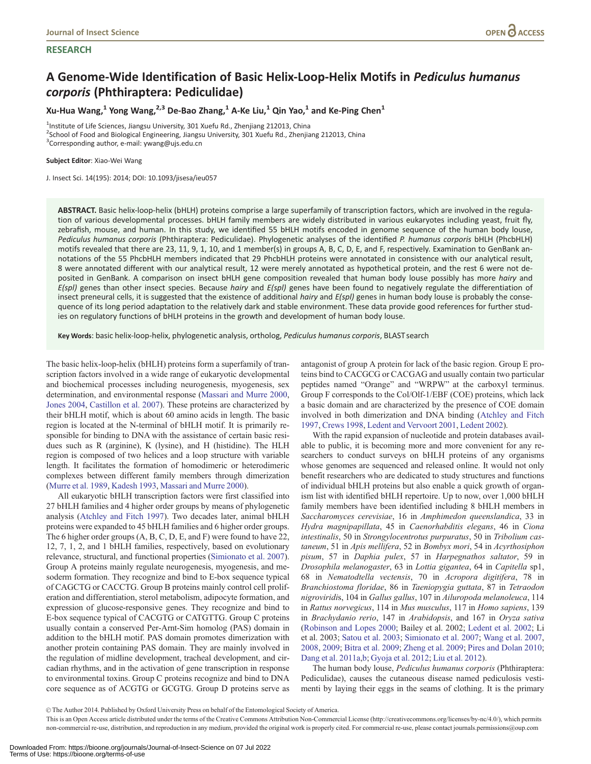### **RESEARCH**

# A Genome-Wide Identification of Basic Helix-Loop-Helix Motifs in Pediculus humanus corporis (Phthiraptera: Pediculidae)

Xu-Hua Wang,<sup>1</sup> Yong Wang,<sup>2,3</sup> De-Bao Zhang,<sup>1</sup> A-Ke Liu,<sup>1</sup> Qin Yao,<sup>1</sup> and Ke-Ping Chen<sup>1</sup>

<sup>1</sup>Institute of Life Sciences, Jiangsu University, 301 Xuefu Rd., Zhenjiang 212013, China 2 School of Food and Biological Engineering, Jiangsu University, 301 Xuefu Rd., Zhenjiang 212013, China

<sup>3</sup>Corresponding author, e-mail: ywang@ujs.edu.cn

Subject Editor: Xiao-Wei Wang

J. Insect Sci. 14(195): 2014; DOI: 10.1093/jisesa/ieu057

ABSTRACT. Basic helix-loop-helix (bHLH) proteins comprise a large superfamily of transcription factors, which are involved in the regulation of various developmental processes. bHLH family members are widely distributed in various eukaryotes including yeast, fruit fly, zebrafish, mouse, and human. In this study, we identified 55 bHLH motifs encoded in genome sequence of the human body louse, Pediculus humanus corporis (Phthiraptera: Pediculidae). Phylogenetic analyses of the identified P. humanus corporis bHLH (PhcbHLH) motifs revealed that there are 23, 11, 9, 1, 10, and 1 member(s) in groups A, B, C, D, E, and F, respectively. Examination to GenBank annotations of the 55 PhcbHLH members indicated that 29 PhcbHLH proteins were annotated in consistence with our analytical result, 8 were annotated different with our analytical result, 12 were merely annotated as hypothetical protein, and the rest 6 were not deposited in GenBank. A comparison on insect bHLH gene composition revealed that human body louse possibly has more hairy and  $E(spI)$  genes than other insect species. Because hairy and  $E(spI)$  genes have been found to negatively regulate the differentiation of insect preneural cells, it is suggested that the existence of additional hairy and  $E(spI)$  genes in human body louse is probably the consequence of its long period adaptation to the relatively dark and stable environment. These data provide good references for further studies on regulatory functions of bHLH proteins in the growth and development of human body louse.

Key Words: basic helix-loop-helix, phylogenetic analysis, ortholog, Pediculus humanus corporis, BLAST search

The basic helix-loop-helix (bHLH) proteins form a superfamily of transcription factors involved in a wide range of eukaryotic developmental and biochemical processes including neurogenesis, myogenesis, sex determination, and environmental response ([Massari and Murre 2000,](#page-10-0) [Jones 2004](#page-10-0), [Castillon et al. 2007\)](#page-10-0). These proteins are characterized by their bHLH motif, which is about 60 amino acids in length. The basic region is located at the N-terminal of bHLH motif. It is primarily responsible for binding to DNA with the assistance of certain basic residues such as R (arginine), K (lysine), and H (histidine). The HLH region is composed of two helices and a loop structure with variable length. It facilitates the formation of homodimeric or heterodimeric complexes between different family members through dimerization ([Murre et al. 1989](#page-10-0), [Kadesh 1993](#page-10-0), [Massari and Murre 2000\)](#page-10-0).

All eukaryotic bHLH transcription factors were first classified into 27 bHLH families and 4 higher order groups by means of phylogenetic analysis ([Atchley and Fitch 1997\)](#page-9-0). Two decades later, animal bHLH proteins were expanded to 45 bHLH families and 6 higher order groups. The 6 higher order groups (A, B, C, D, E, and F) were found to have 22, 12, 7, 1, 2, and 1 bHLH families, respectively, based on evolutionary relevance, structural, and functional properties [\(Simionato et al. 2007\)](#page-10-0). Group A proteins mainly regulate neurogenesis, myogenesis, and mesoderm formation. They recognize and bind to E-box sequence typical of CAGCTG or CACCTG. Group B proteins mainly control cell proliferation and differentiation, sterol metabolism, adipocyte formation, and expression of glucose-responsive genes. They recognize and bind to E-box sequence typical of CACGTG or CATGTTG. Group C proteins usually contain a conserved Per-Arnt-Sim homolog (PAS) domain in addition to the bHLH motif. PAS domain promotes dimerization with another protein containing PAS domain. They are mainly involved in the regulation of midline development, tracheal development, and circadian rhythms, and in the activation of gene transcription in response to environmental toxins. Group C proteins recognize and bind to DNA core sequence as of ACGTG or GCGTG. Group D proteins serve as antagonist of group A protein for lack of the basic region. Group E proteins bind to CACGCG or CACGAG and usually contain two particular peptides named "Orange" and "WRPW" at the carboxyl terminus. Group F corresponds to the Col/Olf-1/EBF (COE) proteins, which lack a basic domain and are characterized by the presence of COE domain involved in both dimerization and DNA binding ([Atchley and Fitch](#page-9-0) [1997](#page-9-0), [Crews 1998,](#page-10-0) [Ledent and Vervoort 2001,](#page-10-0) [Ledent 2002](#page-10-0)).

With the rapid expansion of nucleotide and protein databases available to public, it is becoming more and more convenient for any researchers to conduct surveys on bHLH proteins of any organisms whose genomes are sequenced and released online. It would not only benefit researchers who are dedicated to study structures and functions of individual bHLH proteins but also enable a quick growth of organism list with identified bHLH repertoire. Up to now, over 1,000 bHLH family members have been identified including 8 bHLH members in Saccharomyces cerevisiae, 16 in Amphimedon queenslandica, 33 in Hydra magnipapillata, 45 in Caenorhabditis elegans, 46 in Ciona intestinalis, 50 in Strongylocentrotus purpuratus, 50 in Tribolium castaneum, 51 in Apis mellifera, 52 in Bombyx mori, 54 in Acyrthosiphon pisum, 57 in Daphia pulex, 57 in Harpegnathos saltator, 59 in Drosophila melanogaster, 63 in Lottia gigantea, 64 in Capitella sp1, 68 in Nematodtella vectensis, 70 in Acropora digitifera, 78 in Branchiostoma floridae, 86 in Taeniopygia guttata, 87 in Tetraodon nigroviridis, 104 in Gallus gallus, 107 in Ailuropoda melanoleuca, 114 in Rattus norvegicus, 114 in Mus musculus, 117 in Homo sapiens, 139 in Brachydanio rerio, 147 in Arabidopsis, and 167 in Oryza sativa ([Robinson and Lopes 2000](#page-10-0); Bailey et al. 2002; [Ledent et al. 2002;](#page-10-0) Li et al. 2003; [Satou et al. 2003;](#page-10-0) [Simionato et al. 2007](#page-10-0); [Wang et al. 2007,](#page-10-0) [2008](#page-10-0), [2009](#page-10-0); [Bitra et al. 2009;](#page-10-0) [Zheng et al. 2009](#page-10-0); [Pires and Dolan 2010;](#page-10-0) [Dang et al. 2011a](#page-10-0),[b](#page-10-0); [Gyoja et al. 2012;](#page-10-0) [Liu et al. 2012\)](#page-10-0).

The human body louse, Pediculus humanus corporis (Phthiraptera: Pediculidae), causes the cutaneous disease named pediculosis vestimenti by laying their eggs in the seams of clothing. It is the primary

V<sup>C</sup> The Author 2014. Published by Oxford University Press on behalf of the Entomological Society of America.

This is an Open Access article distributed under the terms of the Creative Commons Attribution Non-Commercial License (http://creativecommons.org/licenses/by-nc/4.0/), which permits non-commercial re-use, distribution, and reproduction in any medium, provided the original work is properly cited. For commercial re-use, please contact journals.permissions@oup.com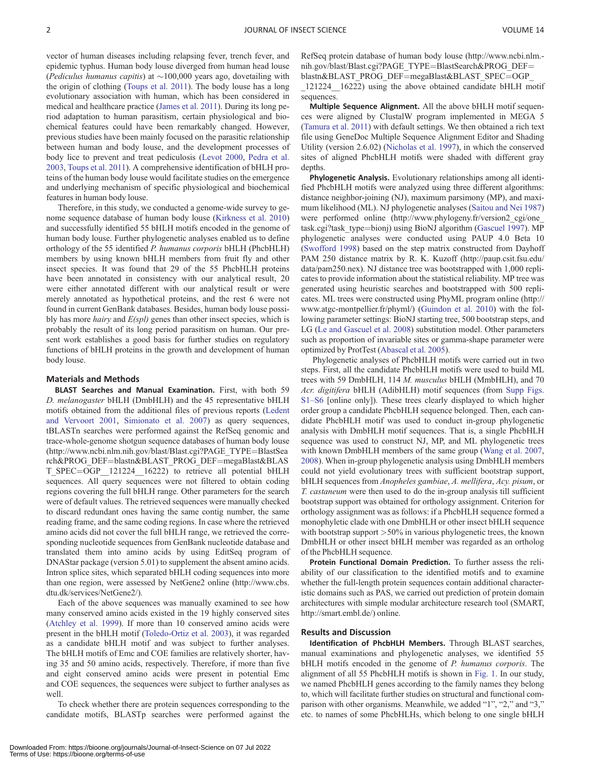vector of human diseases including relapsing fever, trench fever, and epidemic typhus. Human body louse diverged from human head louse (Pediculus humanus capitis) at  $\sim$ 100,000 years ago, dovetailing with the origin of clothing [\(Toups et al. 2011\)](#page-10-0). The body louse has a long evolutionary association with human, which has been considered in medical and healthcare practice ([James et al. 2011\)](#page-10-0). During its long period adaptation to human parasitism, certain physiological and biochemical features could have been remarkably changed. However, previous studies have been mainly focused on the parasitic relationship between human and body louse, and the development processes of body lice to prevent and treat pediculosis [\(Levot 2000,](#page-10-0) [Pedra et al.](#page-10-0) [2003,](#page-10-0) [Toups et al. 2011](#page-10-0)). A comprehensive identification of bHLH proteins of the human body louse would facilitate studies on the emergence and underlying mechanism of specific physiological and biochemical features in human body louse.

Therefore, in this study, we conducted a genome-wide survey to genome sequence database of human body louse [\(Kirkness et al. 2010](#page-10-0)) and successfully identified 55 bHLH motifs encoded in the genome of human body louse. Further phylogenetic analyses enabled us to define orthology of the 55 identified P. humanus corporis bHLH (PhcbHLH) members by using known bHLH members from fruit fly and other insect species. It was found that 29 of the 55 PhcbHLH proteins have been annotated in consistency with our analytical result, 20 were either annotated different with our analytical result or were merely annotated as hypothetical proteins, and the rest 6 were not found in current GenBank databases. Besides, human body louse possibly has more *hairy* and  $E(spl)$  genes than other insect species, which is probably the result of its long period parasitism on human. Our present work establishes a good basis for further studies on regulatory functions of bHLH proteins in the growth and development of human body louse.

#### Materials and Methods

BLAST Searches and Manual Examination. First, with both 59 D. melanogaster bHLH (DmbHLH) and the 45 representative bHLH motifs obtained from the additional files of previous reports [\(Ledent](#page-10-0) [and Vervoort 2001,](#page-10-0) [Simionato et al. 2007\)](#page-10-0) as query sequences, tBLASTn searches were performed against the RefSeq genomic and trace-whole-genome shotgun sequence databases of human body louse ([http://www.ncbi.nlm.nih.gov/blast/Blast.cgi?PAGE\\_TYPE](http://www.ncbi.nlm.nih.gov/blast/Blast.cgi?PAGE_TYPE=BlastSearch&PROG_DEF=blastn&BLAST_PROG_DEF=megaBlast&BLAST_SPEC=OGP__121224__16222)=[BlastSea](http://www.ncbi.nlm.nih.gov/blast/Blast.cgi?PAGE_TYPE=BlastSearch&PROG_DEF=blastn&BLAST_PROG_DEF=megaBlast&BLAST_SPEC=OGP__121224__16222) [rch&PROG\\_DEF](http://www.ncbi.nlm.nih.gov/blast/Blast.cgi?PAGE_TYPE=BlastSearch&PROG_DEF=blastn&BLAST_PROG_DEF=megaBlast&BLAST_SPEC=OGP__121224__16222)=[blastn&BLAST\\_PROG\\_DEF](http://www.ncbi.nlm.nih.gov/blast/Blast.cgi?PAGE_TYPE=BlastSearch&PROG_DEF=blastn&BLAST_PROG_DEF=megaBlast&BLAST_SPEC=OGP__121224__16222)=[megaBlast&BLAS](http://www.ncbi.nlm.nih.gov/blast/Blast.cgi?PAGE_TYPE=BlastSearch&PROG_DEF=blastn&BLAST_PROG_DEF=megaBlast&BLAST_SPEC=OGP__121224__16222) [T\\_SPEC](http://www.ncbi.nlm.nih.gov/blast/Blast.cgi?PAGE_TYPE=BlastSearch&PROG_DEF=blastn&BLAST_PROG_DEF=megaBlast&BLAST_SPEC=OGP__121224__16222)=OGP\_121224\_16222) to retrieve all potential bHLH sequences. All query sequences were not filtered to obtain coding regions covering the full bHLH range. Other parameters for the search were of default values. The retrieved sequences were manually checked to discard redundant ones having the same contig number, the same reading frame, and the same coding regions. In case where the retrieved amino acids did not cover the full bHLH range, we retrieved the corresponding nucleotide sequences from GenBank nucleotide database and translated them into amino acids by using EditSeq program of DNAStar package (version 5.01) to supplement the absent amino acids. Intron splice sites, which separated bHLH coding sequences into more than one region, were assessed by NetGene2 online ([http://www.cbs.](http://www.cbs.dtu.dk/services/NetGene2/) [dtu.dk/services/NetGene2/\)](http://www.cbs.dtu.dk/services/NetGene2/).

Each of the above sequences was manually examined to see how many conserved amino acids existed in the 19 highly conserved sites ([Atchley et al. 1999](#page-9-0)). If more than 10 conserved amino acids were present in the bHLH motif ([Toledo-Ortiz et al. 2003\)](#page-10-0), it was regarded as a candidate bHLH motif and was subject to further analyses. The bHLH motifs of Emc and COE families are relatively shorter, having 35 and 50 amino acids, respectively. Therefore, if more than five and eight conserved amino acids were present in potential Emc and COE sequences, the sequences were subject to further analyses as well.

To check whether there are protein sequences corresponding to the candidate motifs, BLASTp searches were performed against the

[\\_121224\\_\\_16222\)](http://www.ncbi.nlm.nih.gov/blast/Blast.cgi?PAGE_TYPE=BlastSearch&PROG_DEF=blastn&BLAST_PROG_DEF=megaBlast&BLAST_SPEC=OGP__121224__16222) using the above obtained candidate bHLH motif sequences.

Multiple Sequence Alignment. All the above bHLH motif sequences were aligned by ClustalW program implemented in MEGA 5 ([Tamura et al. 2011\)](#page-10-0) with default settings. We then obtained a rich text file using GeneDoc Multiple Sequence Alignment Editor and Shading Utility (version 2.6.02) [\(Nicholas et al. 1997\)](#page-10-0), in which the conserved sites of aligned PhcbHLH motifs were shaded with different gray depths.

Phylogenetic Analysis. Evolutionary relationships among all identified PhcbHLH motifs were analyzed using three different algorithms: distance neighbor-joining (NJ), maximum parsimony (MP), and maximum likelihood (ML). NJ phylogenetic analyses ([Saitou and Nei 1987](#page-10-0)) were performed online (http://www.phylogeny.fr/version2 cgi/one [task.cgi?task\\_type](http://www.phylogeny.fr/version2_cgi/one_task.cgi?task_type=bionj)=[bionj\)](http://www.phylogeny.fr/version2_cgi/one_task.cgi?task_type=bionj) using BioNJ algorithm ([Gascuel 1997\)](#page-10-0). MP phylogenetic analyses were conducted using PAUP 4.0 Beta 10 ([Swofford 1998\)](#page-10-0) based on the step matrix constructed from Dayhoff PAM 250 distance matrix by R. K. Kuzoff [\(http://paup.csit.fsu.edu/](http://paup.csit.fsu.edu/data/pam250.nex) [data/pam250.nex](http://paup.csit.fsu.edu/data/pam250.nex)). NJ distance tree was bootstrapped with 1,000 replicates to provide information about the statistical reliability. MP tree was generated using heuristic searches and bootstrapped with 500 replicates. ML trees were constructed using PhyML program online ([http://](http://www.atgc-montpellier.fr/phyml/) [www.atgc-montpellier.fr/phyml/](http://www.atgc-montpellier.fr/phyml/)) [\(Guindon et al. 2010](#page-10-0)) with the following parameter settings: BioNJ starting tree, 500 bootstrap steps, and LG [\(Le and Gascuel et al. 2008\)](#page-10-0) substitution model. Other parameters such as proportion of invariable sites or gamma-shape parameter were optimized by ProtTest [\(Abascal et al. 2005](#page-9-0)).

Phylogenetic analyses of PhcbHLH motifs were carried out in two steps. First, all the candidate PhcbHLH motifs were used to build ML trees with 59 DmbHLH, 114 M. musculus bHLH (MmbHLH), and 70 Acr. digitifera bHLH (AdibHLH) motif sequences (from [Supp Figs.](http://jinsectscience.oxfordjournals.org/lookup/suppl/doi:10.1093/jisesa/ieu057/-/DC1) [S1–S6](http://jinsectscience.oxfordjournals.org/lookup/suppl/doi:10.1093/jisesa/ieu057/-/DC1) [online only]). These trees clearly displayed to which higher order group a candidate PhcbHLH sequence belonged. Then, each candidate PhcbHLH motif was used to conduct in-group phylogenetic analysis with DmbHLH motif sequences. That is, a single PhcbHLH sequence was used to construct NJ, MP, and ML phylogenetic trees with known DmbHLH members of the same group ([Wang et al. 2007,](#page-10-0) [2008](#page-10-0)). When in-group phylogenetic analysis using DmbHLH members could not yield evolutionary trees with sufficient bootstrap support, bHLH sequences from Anopheles gambiae, A. mellifera, Acy. pisum, or T. castaneum were then used to do the in-group analysis till sufficient bootstrap support was obtained for orthology assignment. Criterion for orthology assignment was as follows: if a PhcbHLH sequence formed a monophyletic clade with one DmbHLH or other insect bHLH sequence with bootstrap support  $>50\%$  in various phylogenetic trees, the known DmbHLH or other insect bHLH member was regarded as an ortholog of the PhcbHLH sequence.

Protein Functional Domain Prediction. To further assess the reliability of our classification to the identified motifs and to examine whether the full-length protein sequences contain additional characteristic domains such as PAS, we carried out prediction of protein domain architectures with simple modular architecture research tool (SMART, <http://smart.embl.de/>) online.

#### Results and Discussion

Identification of PhcbHLH Members. Through BLAST searches, manual examinations and phylogenetic analyses, we identified 55 bHLH motifs encoded in the genome of P. humanus corporis. The alignment of all 55 PhcbHLH motifs is shown in [Fig. 1](#page-3-0). In our study, we named PhcbHLH genes according to the family names they belong to, which will facilitate further studies on structural and functional comparison with other organisms. Meanwhile, we added "1", "2," and "3," etc. to names of some PhcbHLHs, which belong to one single bHLH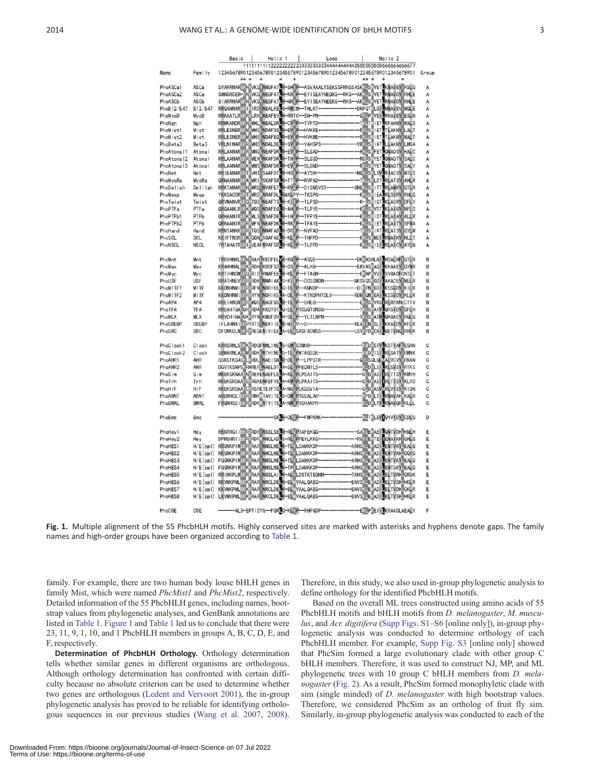| P.               |
|------------------|
| a s              |
|                  |
| I<br>I<br>$\sim$ |
|                  |

<span id="page-3-0"></span>

|                        |                           | Bas ic                                                                                                                                                                                                                          | $He$ lix 1 | Loop                                                                       |      | $He$ lix 2                                                                                                                            |        |
|------------------------|---------------------------|---------------------------------------------------------------------------------------------------------------------------------------------------------------------------------------------------------------------------------|------------|----------------------------------------------------------------------------|------|---------------------------------------------------------------------------------------------------------------------------------------|--------|
| <b>Name</b>            | Family                    | 12345678901234567890123456789012345678901234567890123456789012345678901 Group                                                                                                                                                   |            |                                                                            |      |                                                                                                                                       |        |
|                        |                           | ** *<br>$\ast$                                                                                                                                                                                                                  |            |                                                                            | ** * | $\ast$                                                                                                                                |        |
| PhcASCa1               | ASCa                      | SVARRNARERNEVKOVNNGFATLR-SHIP--ASVAAALTSEKSSPRNSSASKKISKVETLKMAVEYIRSLO                                                                                                                                                         |            |                                                                            |      |                                                                                                                                       | А      |
| PhcASCa2               | ASCa                      | SWNSRCER-RNEVKOVNEGFATLR-KRIP--EYISEAYNEOKG--RKS--AKKISEVETLRMAVDYIRHLE                                                                                                                                                         |            |                                                                            |      |                                                                                                                                       | Α      |
| PhcASCb                | ASCb                      |                                                                                                                                                                                                                                 |            |                                                                            |      |                                                                                                                                       | А      |
| PhcE12/E47             | E12/E47                   | STARRIARERWINDUMESTATER-IND P-EYTSEATMEEKS--RKS--AKKLS VETTEMAVDY RHLE<br>RROANNARERWINDUMEALKETG-RMCM--THLKT-------------PKPOT (LGTENMAVEV) MOLE<br>RROANNARERWINDUMEALKETG-RMCM--THLKT-----------------ORTP (LGTENMAVEV) MOLE |            |                                                                            |      |                                                                                                                                       | A      |
| PhcMyoD                | MyoD                      |                                                                                                                                                                                                                                 |            |                                                                            |      |                                                                                                                                       | A      |
| PhcNgn                 | Ngn                       | RRMKANDRERNEMHLLNEALDRER-CVLP-TYPTD-                                                                                                                                                                                            |            |                                                                            |      | -TKLTKIET <b>L</b> RFAHNYIWALS                                                                                                        | A      |
| PhcMist1               | Mist                      | RRLESNER ENGINES NORFOS RE-EVI P--HVKKE--<br>RRLESNER ENGINES NORFOS R-EVI P--HVKKE--<br>RRLESNER ENGINES NORFEO R-EVI P--HVKME--                                                                                               |            |                                                                            |      |                                                                                                                                       | A      |
| PhcMist2               | Mist                      |                                                                                                                                                                                                                                 |            |                                                                            |      |                                                                                                                                       | A      |
| PhcBeta3               | Beta3                     | VRLNINARERREMHDLNDALDELR-SV P-YAHSPS-                                                                                                                                                                                           |            |                                                                            |      | -VRKUSKIATLLLAKNYILMQA                                                                                                                | A      |
| PhcAtonal1 Atonal      |                           | RRLAANARERRRMGLNEAFDR <mark>U</mark> R-EVIP--SLGAD--<br>RRLAANARERRMMENLNKAFDR <mark>U</mark> R-THLP--SLGSD--                                                                                                                   |            |                                                                            |      | --HKLSKFETLOMAOSYIHALC<br>ROLS VET OMAGTY SALC                                                                                        | A      |
| PhcAtona <sub>12</sub> | Atonal                    | RRLAANARERKRMNSLNDAFDRLR-EVVP-SLGND--                                                                                                                                                                                           |            |                                                                            |      |                                                                                                                                       | A      |
| PhcAtonal3 Atonal      |                           |                                                                                                                                                                                                                                 |            |                                                                            |      |                                                                                                                                       | A      |
| PhoNet                 | Net<br>MyoRa              | RRIEANARERT (VHTI SAAFDTLR-HSI P--AYSH-----------------NXLS"(LSVLRIACSY) MTLS<br>ORNAANARERA, MRI LSKAFSRLK-TTLP--WVPAD---------------TXLS"(LDTLRLATSY) AHLR                                                                    |            |                                                                            |      |                                                                                                                                       | A<br>A |
| PhcMyoRa<br>PhoDeliah  | Delilah                   | RRKTANARERNEMRE NVAFETLR-RWP--DISNSVST-----------GNEXLSXITTLRLAMKYIQTLR                                                                                                                                                         |            |                                                                            |      |                                                                                                                                       | A      |
| PhcMesp                | Mesp                      | YKKSACDRERTRMRD NRAFDLERAKLPV-TKSPG--                                                                                                                                                                                           |            |                                                                            |      | -KALSKIEALRLSIRYIRHLO                                                                                                                 | A      |
| PhcTwist               | Twist                     |                                                                                                                                                                                                                                 |            |                                                                            |      |                                                                                                                                       | A      |
| PhcPTFa                | PTFa                      | ORVMANVRERORTOSLNEAFTSLR-KIIP-TLPSD--<br>ORVMANVRERORTOSLNEAFTSLR-KIIP-TLPSD--                                                                                                                                                  |            |                                                                            |      |                                                                                                                                       | A      |
| PhcPTFb1               | PTFb                      | ORHAANIRERKEMLSINSAFDELR-IHVP-TFPYE-                                                                                                                                                                                            |            |                                                                            |      |                                                                                                                                       | A      |
| PhcPTFb2               | PTFb                      | ORRAANIRERREMENLNEAFDKLR-RKVP-TFAYE-                                                                                                                                                                                            |            |                                                                            |      | --------------KRLSRIETLRLAITYISFMA                                                                                                    | A      |
| PhcHand                | Hand                      | RRNTANKKERRETOS INNAFADER-DC P-NVPAD-                                                                                                                                                                                           |            |                                                                            |      | -TKLSKIKTLRLATSY GYLM                                                                                                                 | A      |
| PhcSCL                 | <b>SCL</b>                | KKIFTNSRERWFOON/SGAFAELR-KLVP--THPPD-                                                                                                                                                                                           |            |                                                                            |      | KKLS NEILRMAIKY NLLT                                                                                                                  | Α      |
| PhcNSCL                | <b>NSCL</b>               | YRTAHATRERI RVEAFNVAFSDER-KLEP-TLPPD-                                                                                                                                                                                           |            |                                                                            |      | KKISKIEI RLAICY AYLN                                                                                                                  | A      |
|                        |                           |                                                                                                                                                                                                                                 |            |                                                                            |      |                                                                                                                                       |        |
| PhcMnt                 | Mnt                       |                                                                                                                                                                                                                                 |            |                                                                            |      |                                                                                                                                       | B      |
| PhcMax                 | Max                       |                                                                                                                                                                                                                                 |            |                                                                            |      |                                                                                                                                       | B      |
| PhcMyc                 | Myc                       |                                                                                                                                                                                                                                 |            |                                                                            |      |                                                                                                                                       | B      |
| PhcUSF                 | <b>USF</b><br><b>MITF</b> | KKDNHNMIERRERFNINDRIKELG-TLLP-KNNDP------                                                                                                                                                                                       |            |                                                                            |      | ----DIRPN GTILKSSVDY KILK                                                                                                             | B<br>B |
| PhcMITF1<br>PhcMITF2   | MI TF                     |                                                                                                                                                                                                                                 |            |                                                                            |      |                                                                                                                                       | B      |
| PhcAP4                 | AP4                       | KKDNHNMI ERR RYNI NDR I KE <mark>L</mark> A-DLL P--KTNDPHYDLV--------RDN XXI KAA I LKSSVDY IKLLK<br>RREI ANSN ERR MOS I NAGFOSLIR-TLL P--SHEG-----------------EXLS VKS I RLRRKNECTYV                                            |            |                                                                            |      |                                                                                                                                       | B      |
| PhcTF4                 | TF4                       | RREAHTOA ORTRDA KKGYDTLO-ELVPTCOOTDNSG---                                                                                                                                                                                       |            |                                                                            |      | -YKLS AIVLORSIDY OFLH                                                                                                                 | B      |
| PhcMLX                 | <b>MLX</b>                | RRVCHINAEOKERYNIKNGFDVLH-SLIP--YLTLNPN---                                                                                                                                                                                       |            |                                                                            |      | -VKLS ATMLOKGAEY ROLO                                                                                                                 | B      |
| PhcSREBP               | <b>SREBP</b>              | IFLAHNA I ERRYRTS NEKI IELK-NIIV-G-----------                                                                                                                                                                                   |            |                                                                            |      | --KEAKIN SLILKKAIDY KFLK                                                                                                              | B      |
| PhcSRC                 | <b>SRC</b>                | CFSNKCLNEKR:REQENTYTEELA-ELTSASFADMSS-                                                                                                                                                                                          |            |                                                                            |      | -------LSVKPD KCAILOETVNG RHIK                                                                                                        | B      |
|                        |                           |                                                                                                                                                                                                                                 |            |                                                                            |      |                                                                                                                                       |        |
| PhcClock1              | Clock                     | KRRSRNLSERKERDOFNMLINELS-SMVSTNNR--                                                                                                                                                                                             |            |                                                                            |      | KMD KSTVLKSTI AFLESHN<br>KMD KTSILRLSATYIRMNK                                                                                         | C      |
| PhcClock2              | Clock                     | SRMARNLA KWRRDKLNTHINELS-TLVPMTAGSSK--                                                                                                                                                                                          |            |                                                                            |      |                                                                                                                                       | C      |
| PhcAHR1                | AHR                       | SSKSTKGASKLRDLINAEISNIR-DLIP-LPPSTR----------                                                                                                                                                                                   |            |                                                                            |      | -<br>-0RLSQLQLTALVCVYVRKAN<br>--KLDRLSILRLSVSYLRTKS                                                                                   | C      |
| PhcAHR2<br>PhcS im     | AHR<br>Sim                | DGVTKSNPS <rhrerlnaeldtla-sllpfeqnils--<br>MKEKSKNAA NEREKENAEFLE A-KLIPLPSAITS-</rhrerlnaeldtla-sllpfeqnils--<br>                                                                                                              |            |                                                                            |      | OLD ASI RLTTSY KMRH                                                                                                                   | C<br>C |
| PhcTrh                 | Trh                       | RKEKSRDAARSRGKENFEFYELA-KMLPLPAAITS--                                                                                                                                                                                           |            |                                                                            |      |                                                                                                                                       | C      |
| PhcHIF                 | HIF                       | RKEKSRDAARCRRSRETEIFTDLA-NGLPLKQSVIA-                                                                                                                                                                                           |            |                                                                            |      |                                                                                                                                       | C      |
| PhcARNT                | <b>ARNT</b>               |                                                                                                                                                                                                                                 |            |                                                                            |      | ---QD'ASI <mark>I</mark> RLTISY_KLRD<br>---Q_D'ASVIRLVISY_KION<br>--- <mark>YPD'</mark> LTI <mark>L</mark> RMAVAH <mark>/KAL</mark> R | C      |
| PhcBMAL                | <b>BMAL</b>               | ARENHCETERRERNK TAYTTELS-DMVPTCSALAR-<br>FRONHSETERRERNK MTAYTTELS-DMVPTCSALAR-                                                                                                                                                 |            |                                                                            |      | LO LTV RMAVOH RLLL                                                                                                                    | C      |
|                        |                           |                                                                                                                                                                                                                                 |            |                                                                            |      |                                                                                                                                       |        |
| PhcEmc                 | Emc                       |                                                                                                                                                                                                                                 |            | SK K-DLVP--FMPKNK--------------                                            |      | <b>TILEV</b> OYVIDY COLO                                                                                                              | D      |
|                        |                           |                                                                                                                                                                                                                                 |            |                                                                            |      |                                                                                                                                       |        |
| PhcHey1                | Hey                       | RKKRRGI I EKRRRDRINSSLSE <b>R-RLVPTAFEKOG---</b>                                                                                                                                                                                |            |                                                                            |      | ---------------SAKIEKAEI LOMTVDHLKNLH                                                                                                 | E      |
| PhoHey2                | Hey                       | DPMSHR11EKR:RDR/INNCLAD <mark>U</mark> S-RLI PPEYLKKG--------------RGR1EKTE1 <mark>I</mark> EMA1KH1GHLQ<br>RRSNKP1MEKR:RARI NNSLNE <mark>U</mark> K-TLI LDAMKKDP------------ARHS/LE/AD1LEMTVKYLEALQ                             |            |                                                                            |      |                                                                                                                                       | E      |
| PhcHES1                | H/E(sp I)                 | RKSNKPIMEKRERARINHCLNERK-TLILDAMKKDP--------------ARHSKIEKADINEMTVKHLOOIO                                                                                                                                                       |            |                                                                            |      |                                                                                                                                       | E<br>E |
| PhcHES2<br>PhcHES3     | H/E(spl)                  |                                                                                                                                                                                                                                 |            |                                                                            |      |                                                                                                                                       | E      |
| PhcHES4                |                           |                                                                                                                                                                                                                                 |            |                                                                            |      |                                                                                                                                       | E      |
| PhcHES5                |                           |                                                                                                                                                                                                                                 |            |                                                                            |      |                                                                                                                                       | E      |
| PhcHES6                | H/E(spl)                  | RKVMKPMLERKRARINRCLDELK-ELWAALQAEG-------------ENVSKLEVADILELTVSHLHKLR                                                                                                                                                          |            |                                                                            |      |                                                                                                                                       | E      |
| PhcHES7                |                           |                                                                                                                                                                                                                                 |            |                                                                            |      |                                                                                                                                       | E      |
| PhcHES8                |                           |                                                                                                                                                                                                                                 |            |                                                                            |      |                                                                                                                                       | E      |
|                        |                           |                                                                                                                                                                                                                                 |            |                                                                            |      |                                                                                                                                       |        |
| PhcCOE                 | COE                       |                                                                                                                                                                                                                                 |            | -ALS-EPTIDYG--FORLO-KLIP--RHPGDP----------------------EKIPKEIILKRAADLAEALY |      |                                                                                                                                       | F      |
|                        |                           |                                                                                                                                                                                                                                 |            |                                                                            |      |                                                                                                                                       |        |



family. For example, there are two human body louse bHLH genes in family Mist, which were named PhcMist1 and PhcMist2, respectively. Detailed information of the 55 PhcbHLH genes, including names, bootstrap values from phylogenetic analyses, and GenBank annotations are listed in [Table 1.](#page-4-0) Figure 1 and [Table 1](#page-4-0) led us to conclude that there were 23, 11, 9, 1, 10, and 1 PhcbHLH members in groups A, B, C, D, E, and F, respectively.

Determination of PhcbHLH Orthology. Orthology determination tells whether similar genes in different organisms are orthologous. Although orthology determination has confronted with certain difficulty because no absolute criterion can be used to determine whether two genes are orthologous ([Ledent and Vervoort 2001\)](#page-10-0), the in-group phylogenetic analysis has proved to be reliable for identifying orthologous sequences in our previous studies ([Wang et al. 2007](#page-10-0), [2008\)](#page-10-0). Therefore, in this study, we also used in-group phylogenetic analysis to define orthology for the identified PhcbHLH motifs.

Based on the overall ML trees constructed using amino acids of 55 PhcbHLH motifs and bHLH motifs from *D. melanogaster, M. muscu*-lus, and Acr. digitifera ([Supp Figs. S1–S6](http://jinsectscience.oxfordjournals.org/lookup/suppl/doi:10.1093/jisesa/ieu057/-/DC1) [online only]), in-group phylogenetic analysis was conducted to determine orthology of each PhcbHLH member. For example, [Supp Fig. S3](http://jinsectscience.oxfordjournals.org/lookup/suppl/doi:10.1093/jisesa/ieu057/-/DC1) [online only] showed that PhcSim formed a large evolutionary clade with other group C bHLH members. Therefore, it was used to construct NJ, MP, and ML phylogenetic trees with 10 group C bHLH members from D. melanogaster [\(Fig. 2](#page-5-0)). As a result, PhcSim formed monophyletic clade with sim (single minded) of *D. melanogaster* with high bootstrap values. Therefore, we considered PhcSim as an ortholog of fruit fly sim. Similarly, in-group phylogenetic analysis was conducted to each of the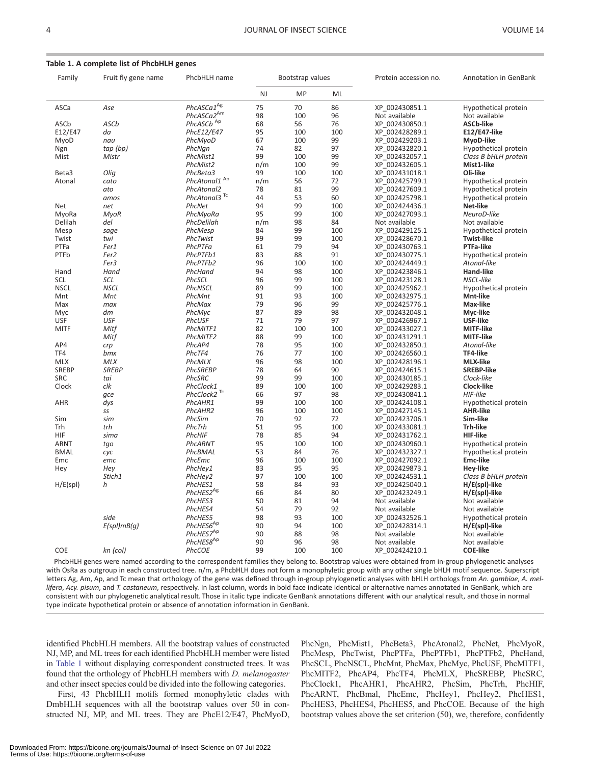#### <span id="page-4-0"></span>Table 1. A complete list of PhcbHLH genes

| Family       | Fruit fly gene name | PhcbHLH name                 | Bootstrap values |     |     | Protein accession no. | Annotation in GenBank |
|--------------|---------------------|------------------------------|------------------|-----|-----|-----------------------|-----------------------|
|              |                     |                              | NJ               | MP  | ML  |                       |                       |
| ASCa         | Ase                 | PhcASCa1 <sup>Ag</sup>       | 75               | 70  | 86  | XP 002430851.1        | Hypothetical protein  |
|              |                     | PhcASCa2 <sup>Am</sup>       | 98               | 100 | 96  | Not available         | Not available         |
| ASCb         | ASCb                | PhcASCb Ap                   | 68               | 56  | 76  | XP 002430850.1        | <b>ASCb-like</b>      |
| E12/E47      | da                  | PhcE12/E47                   | 95               | 100 | 100 | XP 002428289.1        | <b>E12/E47-like</b>   |
| MyoD         | nau                 | PhcMyoD                      | 67               | 100 | 99  | XP 002429203.1        | MyoD-like             |
| Ngn          | tap (bp)            | PhcNgn                       | 74               | 82  | 97  | XP 002432820.1        | Hypothetical protein  |
| Mist         | Mistr               | PhcMist1                     | 99               | 100 | 99  | XP 002432057.1        | Class B bHLH protein  |
|              |                     | PhcMist2                     | n/m              | 100 | 99  | XP 002432605.1        | Mist1-like            |
| Beta3        | Olig                | PhcBeta3                     | 99               | 100 | 100 | XP 002431018.1        | Oli-like              |
| Atonal       | cato                | PhcAtonal1 Ap                | n/m              | 56  | 72  | XP 002425799.1        | Hypothetical protein  |
|              | ato                 | PhcAtonal2                   | 78               | 81  | 99  | XP 002427609.1        | Hypothetical protein  |
|              | amos                | PhcAtonal3 <sup>Tc</sup>     | 44               | 53  | 60  | XP 002425798.1        | Hypothetical protein  |
| Net          | net                 | PhcNet                       | 94               | 99  | 100 | XP 002424436.1        | Net-like              |
|              |                     |                              | 95               | 99  | 100 |                       |                       |
| MyoRa        | <b>MyoR</b>         | PhcMyoRa                     |                  |     |     | XP 002427093.1        | NeuroD-like           |
| Delilah      | del                 | PhcDelilah                   | n/m              | 98  | 84  | Not available         | Not available         |
| Mesp         | sage                | PhcMesp                      | 84               | 99  | 100 | XP 002429125.1        | Hypothetical protein  |
| Twist        | twi                 | PhcTwist                     | 99               | 99  | 100 | XP 002428670.1        | <b>Twist-like</b>     |
| PTFa         | Fer1                | PhcPTFa                      | 61               | 79  | 94  | XP 002430763.1        | <b>PTFa-like</b>      |
| PTFb         | Fer <sub>2</sub>    | PhcPTFb1                     | 83               | 88  | 91  | XP 002430775.1        | Hypothetical protein  |
|              | Fer3                | PhcPTFb2                     | 96               | 100 | 100 | XP 002424449.1        | Atonal-like           |
| Hand         | Hand                | PhcHand                      | 94               | 98  | 100 | XP 002423846.1        | <b>Hand-like</b>      |
| SCL          | SCL                 | PhcSCL                       | 96               | 99  | 100 | XP 002423128.1        | NSCL-like             |
| <b>NSCL</b>  | <b>NSCL</b>         | PhcNSCL                      | 89               | 99  | 100 | XP 002425962.1        | Hypothetical protein  |
| Mnt          | Mnt                 | PhcMnt                       | 91               | 93  | 100 | XP 002432975.1        | Mnt-like              |
| Max          | max                 | PhcMax                       | 79               | 96  | 99  | XP 002425776.1        | Max-like              |
| Myc          | dm                  | PhcMvc                       | 87               | 89  | 98  | XP 002432048.1        | Mvc-like              |
| <b>USF</b>   | USF                 | PhcUSF                       | 71               | 79  | 97  | XP 002426967.1        | <b>USF-like</b>       |
| <b>MITF</b>  | Mitf                | PhcMITF1                     | 82               | 100 | 100 | XP 002433027.1        | <b>MITF-like</b>      |
|              | Mitf                | PhcMITF2                     | 88               | 99  | 100 | XP 002431291.1        | <b>MITF-like</b>      |
| AP4          | crp                 | PhcAP4                       | 78               | 95  | 100 | XP 002432850.1        | Atonal-like           |
| TF4          | bmx                 | PhcTF4                       | 76               | 77  | 100 | XP 002426560.1        | TF4-like              |
| <b>MLX</b>   | <b>MLX</b>          | PhcMLX                       | 96               | 98  | 100 | XP 002428196.1        | <b>MLX-like</b>       |
| <b>SREBP</b> | <b>SREBP</b>        | PhcSREBP                     | 78               | 64  | 90  | XP 002424615.1        | <b>SREBP-like</b>     |
| <b>SRC</b>   | tai                 | PhcSRC                       | 99               | 99  | 100 | XP 002430185.1        | Clock-like            |
| Clock        | clk                 | PhcClock1                    | 89               | 100 | 100 | XP 002429283.1        | Clock-like            |
|              | qce                 | $PhcClock2$ $\mathrm{^{Tc}}$ | 66               | 97  | 98  | XP 002430841.1        | HIF-like              |
| AHR          | dys                 | PhcAHR1                      | 99               | 100 | 100 | XP 002424108.1        | Hypothetical protein  |
|              | SS                  | PhcAHR2                      | 96               | 100 | 100 | XP 002427145.1        | <b>AHR-like</b>       |
| Sim          | sim                 | PhcSim                       | 70               | 92  | 72  | XP 002423706.1        | Sim-like              |
| Trh          | trh                 | PhcTrh                       | 51               | 95  | 100 | XP 002433081.1        | Trh-like              |
| <b>HIF</b>   | sima                | PhcHIF                       | 78               | 85  | 94  | XP 002431762.1        | <b>HIF-like</b>       |
| <b>ARNT</b>  | tgo                 | PhcARNT                      | 95               | 100 | 100 | XP 002430960.1        | Hypothetical protein  |
| <b>BMAL</b>  | cyc                 | PhcBMAL                      | 53               | 84  | 76  | XP 002432327.1        | Hypothetical protein  |
| Emc          | emc                 | PhcEmc                       | 96               | 100 | 100 | XP 002427092.1        | <b>Emc-like</b>       |
| Hey          | Hey                 | PhcHey1                      | 83               | 95  | 95  | XP 002429873.1        | <b>Hey-like</b>       |
|              | Stich1              | PhcHey2                      | 97               | 100 | 100 | XP 002424531.1        | Class B bHLH protein  |
| H/E(spl)     | h                   | PhcHES1                      | 58               | 84  | 93  | XP 002425040.1        | H/E(spl)-like         |
|              |                     | PhcHES2 <sup>Ag</sup>        | 66               | 84  | 80  | XP 002423249.1        | H/E(spl)-like         |
|              |                     | PhcHES3                      | 50               | 81  | 94  | Not available         | Not available         |
|              |                     | PhcHES4                      | 54               | 79  | 92  | Not available         | Not available         |
|              | side                | PhcHES5                      | 98               | 93  | 100 | XP 002432526.1        | Hypothetical protein  |
|              | $E(spl)$ m $B(q)$   | PhcHES6 <sup>Ap</sup>        | 90               | 94  | 100 | XP 002428314.1        | H/E(spl)-like         |
|              |                     | PhcHES7 <sup>Ap</sup>        | 90               | 88  | 98  | Not available         | Not available         |
|              |                     | PhcHES8 <sup>Ap</sup>        | 90               | 96  | 98  | Not available         | Not available         |
| <b>COE</b>   | kn (col)            | PhcCOE                       | 99               | 100 | 100 | XP 002424210.1        | <b>COE-like</b>       |
|              |                     |                              |                  |     |     |                       |                       |

PhcbHLH genes were named according to the correspondent families they belong to. Bootstrap values were obtained from in-group phylogenetic analyses with OsRa as outgroup in each constructed tree. n/m, a PhcbHLH does not form a monophyletic group with any other single bHLH motif sequence. Superscript letters Ag, Am, Ap, and Tc mean that orthology of the gene was defined through in-group phylogenetic analyses with bHLH orthologs from An. gambiae, A. mellifera, Acy. pisum, and T. castaneum, respectively. In last column, words in bold face indicate identical or alternative names annotated in GenBank, which are consistent with our phylogenetic analytical result. Those in italic type indicate GenBank annotations different with our analytical result, and those in normal type indicate hypothetical protein or absence of annotation information in GenBank.

identified PhcbHLH members. All the bootstrap values of constructed NJ, MP, and ML trees for each identified PhcbHLH member were listed in Table 1 without displaying correspondent constructed trees. It was found that the orthology of PhcbHLH members with D. melanogaster and other insect species could be divided into the following categories.

First, 43 PhcbHLH motifs formed monophyletic clades with DmbHLH sequences with all the bootstrap values over 50 in constructed NJ, MP, and ML trees. They are PhcE12/E47, PhcMyoD, PhcNgn, PhcMist1, PhcBeta3, PhcAtonal2, PhcNet, PhcMyoR, PhcMesp, PhcTwist, PhcPTFa, PhcPTFb1, PhcPTFb2, PhcHand, PhcSCL, PhcNSCL, PhcMnt, PhcMax, PhcMyc, PhcUSF, PhcMITF1, PhcMITF2, PhcAP4, PhcTF4, PhcMLX, PhcSREBP, PhcSRC, PhcClock1, PhcAHR1, PhcAHR2, PhcSim, PhcTrh, PhcHIF, PhcARNT, PhcBmal, PhcEmc, PhcHey1, PhcHey2, PhcHES1, PhcHES3, PhcHES4, PhcHES5, and PhcCOE. Because of the high bootstrap values above the set criterion (50), we, therefore, confidently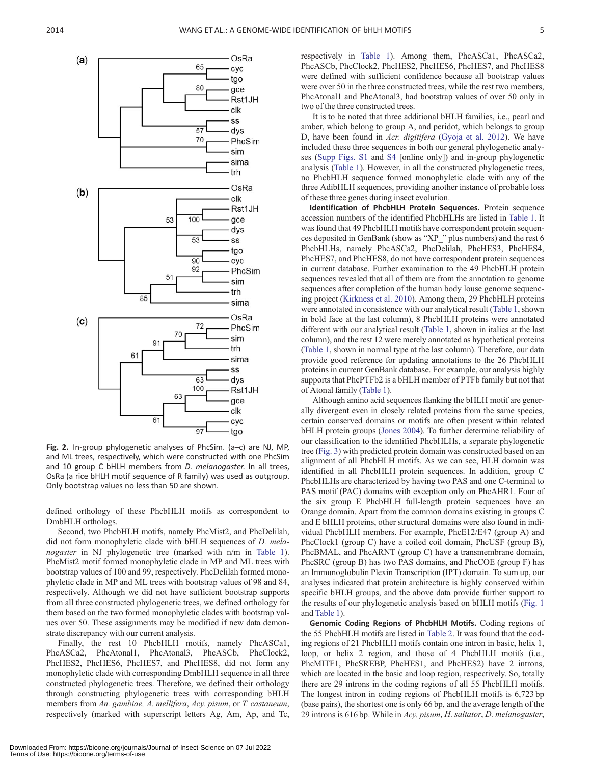

<span id="page-5-0"></span>

Fig. 2. In-group phylogenetic analyses of PhcSim. (a–c) are NJ, MP, and ML trees, respectively, which were constructed with one PhcSim and 10 group C bHLH members from *D. melanogaster*. In all trees, OsRa (a rice bHLH motif sequence of R family) was used as outgroup. Only bootstrap values no less than 50 are shown.

defined orthology of these PhcbHLH motifs as correspondent to DmbHLH orthologs.

Second, two PhcbHLH motifs, namely PhcMist2, and PhcDelilah, did not form monophyletic clade with bHLH sequences of D. mela-nogaster in NJ phylogenetic tree (marked with n/m in [Table 1\)](#page-4-0). PhcMist2 motif formed monophyletic clade in MP and ML trees with bootstrap values of 100 and 99, respectively. PhcDelilah formed monophyletic clade in MP and ML trees with bootstrap values of 98 and 84, respectively. Although we did not have sufficient bootstrap supports from all three constructed phylogenetic trees, we defined orthology for them based on the two formed monophyletic clades with bootstrap values over 50. These assignments may be modified if new data demonstrate discrepancy with our current analysis.

Finally, the rest 10 PhcbHLH motifs, namely PhcASCa1, PhcASCa2, PhcAtonal1, PhcAtonal3, PhcASCb, PhcClock2, PhcHES2, PhcHES6, PhcHES7, and PhcHES8, did not form any monophyletic clade with corresponding DmbHLH sequence in all three constructed phylogenetic trees. Therefore, we defined their orthology through constructing phylogenetic trees with corresponding bHLH members from An. gambiae, A. mellifera, Acy. pisum, or T. castaneum, respectively (marked with superscript letters Ag, Am, Ap, and Tc, respectively in [Table 1](#page-4-0)). Among them, PhcASCa1, PhcASCa2, PhcASCb, PhcClock2, PhcHES2, PhcHES6, PhcHES7, and PhcHES8 were defined with sufficient confidence because all bootstrap values were over 50 in the three constructed trees, while the rest two members, PhcAtonal1 and PhcAtonal3, had bootstrap values of over 50 only in two of the three constructed trees.

It is to be noted that three additional bHLH families, i.e., pearl and amber, which belong to group A, and peridot, which belongs to group D, have been found in Acr. digitifera ([Gyoja et al. 2012](#page-10-0)). We have included these three sequences in both our general phylogenetic analyses [\(Supp Figs. S1](http://jinsectscience.oxfordjournals.org/lookup/suppl/doi:10.1093/jisesa/ieu057/-/DC1) and [S4](http://jinsectscience.oxfordjournals.org/lookup/suppl/doi:10.1093/jisesa/ieu057/-/DC1) [online only]) and in-group phylogenetic analysis [\(Table 1](#page-4-0)). However, in all the constructed phylogenetic trees, no PhcbHLH sequence formed monophyletic clade with any of the three AdibHLH sequences, providing another instance of probable loss of these three genes during insect evolution.

Identification of PhcbHLH Protein Sequences. Protein sequence accession numbers of the identified PhcbHLHs are listed in [Table 1](#page-4-0). It was found that 49 PhcbHLH motifs have correspondent protein sequences deposited in GenBank (show as "XP\_" plus numbers) and the rest 6 PhcbHLHs, namely PhcASCa2, PhcDelilah, PhcHES3, PhcHES4, PhcHES7, and PhcHES8, do not have correspondent protein sequences in current database. Further examination to the 49 PhcbHLH protein sequences revealed that all of them are from the annotation to genome sequences after completion of the human body louse genome sequencing project [\(Kirkness et al. 2010\)](#page-10-0). Among them, 29 PhcbHLH proteins were annotated in consistence with our analytical result ([Table 1,](#page-4-0) shown in bold face at the last column), 8 PhcbHLH proteins were annotated different with our analytical result [\(Table 1](#page-4-0), shown in italics at the last column), and the rest 12 were merely annotated as hypothetical proteins ([Table 1](#page-4-0), shown in normal type at the last column). Therefore, our data provide good reference for updating annotations to the 26 PhcbHLH proteins in current GenBank database. For example, our analysis highly supports that PhcPTFb2 is a bHLH member of PTFb family but not that of Atonal family [\(Table 1](#page-4-0)).

Although amino acid sequences flanking the bHLH motif are generally divergent even in closely related proteins from the same species, certain conserved domains or motifs are often present within related bHLH protein groups ([Jones 2004](#page-10-0)). To further determine reliability of our classification to the identified PhcbHLHs, a separate phylogenetic tree [\(Fig. 3\)](#page-6-0) with predicted protein domain was constructed based on an alignment of all PhcbHLH motifs. As we can see, HLH domain was identified in all PhcbHLH protein sequences. In addition, group C PhcbHLHs are characterized by having two PAS and one C-terminal to PAS motif (PAC) domains with exception only on PhcAHR1. Four of the six group E PhcbHLH full-length protein sequences have an Orange domain. Apart from the common domains existing in groups C and E bHLH proteins, other structural domains were also found in individual PhcbHLH members. For example, PhcE12/E47 (group A) and PhcClock1 (group C) have a coiled coil domain, PhcUSF (group B), PhcBMAL, and PhcARNT (group C) have a transmembrane domain, PhcSRC (group B) has two PAS domains, and PhcCOE (group F) has an Immunoglobulin Plexin Transcription (IPT) domain. To sum up, our analyses indicated that protein architecture is highly conserved within specific bHLH groups, and the above data provide further support to the results of our phylogenetic analysis based on bHLH motifs ([Fig. 1](#page-3-0) and [Table 1\)](#page-4-0).

Genomic Coding Regions of PhcbHLH Motifs. Coding regions of the 55 PhcbHLH motifs are listed in [Table 2.](#page-7-0) It was found that the coding regions of 21 PhcbHLH motifs contain one intron in basic, helix 1, loop, or helix 2 region, and those of 4 PhcbHLH motifs (i.e., PhcMITF1, PhcSREBP, PhcHES1, and PhcHES2) have 2 introns, which are located in the basic and loop region, respectively. So, totally there are 29 introns in the coding regions of all 55 PhcbHLH motifs. The longest intron in coding regions of PhcbHLH motifs is 6,723 bp (base pairs), the shortest one is only 66 bp, and the average length of the 29 introns is 616 bp. While in Acy. pisum, H. saltator, D. melanogaster,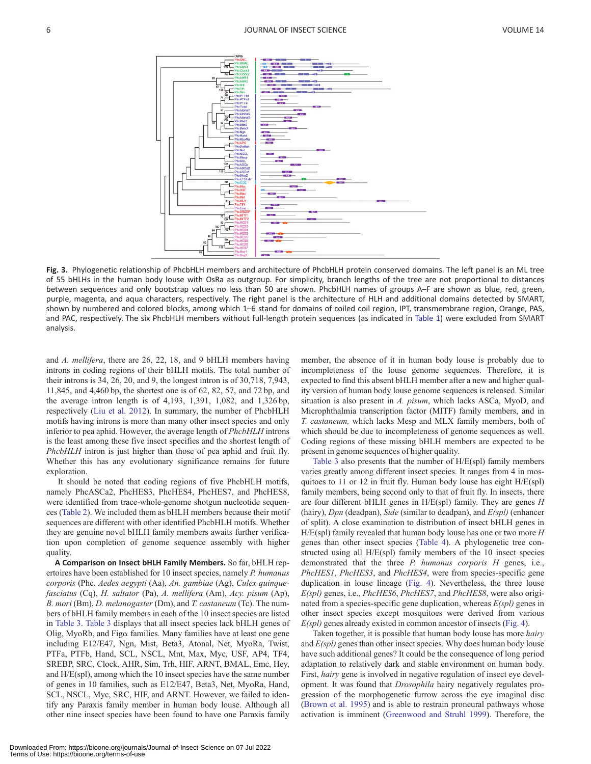<span id="page-6-0"></span>

Fig. 3. Phylogenetic relationship of PhcbHLH members and architecture of PhcbHLH protein conserved domains. The left panel is an ML tree of 55 bHLHs in the human body louse with OsRa as outgroup. For simplicity, branch lengths of the tree are not proportional to distances between sequences and only bootstrap values no less than 50 are shown. PhcbHLH names of groups A–F are shown as blue, red, green, purple, magenta, and aqua characters, respectively. The right panel is the architecture of HLH and additional domains detected by SMART, shown by numbered and colored blocks, among which 1–6 stand for domains of coiled coil region, IPT, transmembrane region, Orange, PAS, and PAC, respectively. The six PhcbHLH members without full-length protein sequences (as indicated in [Table 1](#page-4-0)) were excluded from SMART analysis.

and A. mellifera, there are 26, 22, 18, and 9 bHLH members having introns in coding regions of their bHLH motifs. The total number of their introns is 34, 26, 20, and 9, the longest intron is of 30,718, 7,943, 11,845, and 4,460 bp, the shortest one is of 62, 82, 57, and 72 bp, and the average intron length is of 4,193, 1,391, 1,082, and 1,326 bp, respectively ([Liu et al. 2012\)](#page-10-0). In summary, the number of PhcbHLH motifs having introns is more than many other insect species and only inferior to pea aphid. However, the average length of PhcbHLH introns is the least among these five insect specifies and the shortest length of PhcbHLH intron is just higher than those of pea aphid and fruit fly. Whether this has any evolutionary significance remains for future exploration.

It should be noted that coding regions of five PhcbHLH motifs, namely PhcASCa2, PhcHES3, PhcHES4, PhcHES7, and PhcHES8, were identified from trace-whole-genome shotgun nucleotide sequences [\(Table 2](#page-7-0)). We included them as bHLH members because their motif sequences are different with other identified PhcbHLH motifs. Whether they are genuine novel bHLH family members awaits further verification upon completion of genome sequence assembly with higher quality.

A Comparison on Insect bHLH Family Members. So far, bHLH repertoires have been established for 10 insect species, namely P. humanus corporis (Phc, Aedes aegypti (Aa), An. gambiae (Ag), Culex quinquefasciatus (Cq), H. saltator (Pa), A. mellifera (Am), Acy. pisum (Ap), B. mori (Bm), D. melanogaster (Dm), and T. castaneum (Tc). The numbers of bHLH family members in each of the 10 insect species are listed in [Table 3.](#page-8-0) [Table 3](#page-8-0) displays that all insect species lack bHLH genes of Olig, MyoRb, and Fig $\alpha$  families. Many families have at least one gene including E12/E47, Ngn, Mist, Beta3, Atonal, Net, MyoRa, Twist, PTFa, PTFb, Hand, SCL, NSCL, Mnt, Max, Myc, USF, AP4, TF4, SREBP, SRC, Clock, AHR, Sim, Trh, HIF, ARNT, BMAL, Emc, Hey, and H/E(spl), among which the 10 insect species have the same number of genes in 10 families, such as E12/E47, Beta3, Net, MyoRa, Hand, SCL, NSCL, Myc, SRC, HIF, and ARNT. However, we failed to identify any Paraxis family member in human body louse. Although all other nine insect species have been found to have one Paraxis family

member, the absence of it in human body louse is probably due to incompleteness of the louse genome sequences. Therefore, it is expected to find this absent bHLH member after a new and higher quality version of human body louse genome sequences is released. Similar situation is also present in A. pisum, which lacks ASCa, MyoD, and Microphthalmia transcription factor (MITF) family members, and in T. castaneum, which lacks Mesp and MLX family members, both of which should be due to incompleteness of genome sequences as well. Coding regions of these missing bHLH members are expected to be present in genome sequences of higher quality.

[Table 3](#page-8-0) also presents that the number of H/E(spl) family members varies greatly among different insect species. It ranges from 4 in mosquitoes to 11 or 12 in fruit fly. Human body louse has eight H/E(spl) family members, being second only to that of fruit fly. In insects, there are four different bHLH genes in  $H/E(spl)$  family. They are genes  $H$ (hairy),  $Dpn$  (deadpan), Side (similar to deadpan), and  $E(spl)$  (enhancer of split). A close examination to distribution of insect bHLH genes in  $H/E(spl)$  family revealed that human body louse has one or two more  $H$ genes than other insect species [\(Table 4](#page-9-0)). A phylogenetic tree constructed using all H/E(spl) family members of the 10 insect species demonstrated that the three  $P$ . humanus corporis  $H$  genes, i.e., PhcHES1, PhcHES3, and PhcHES4, were from species-specific gene duplication in louse lineage [\(Fig. 4](#page-9-0)). Nevertheless, the three louse  $E(spl)$  genes, i.e., *PhcHES6*, *PhcHES7*, and *PhcHES8*, were also originated from a species-specific gene duplication, whereas  $E(spl)$  genes in other insect species except mosquitoes were derived from various  $E(spl)$  genes already existed in common ancestor of insects ([Fig. 4](#page-9-0)).

Taken together, it is possible that human body louse has more *hairy* and  $E(spl)$  genes than other insect species. Why does human body louse have such additional genes? It could be the consequence of long period adaptation to relatively dark and stable environment on human body. First, hairy gene is involved in negative regulation of insect eye development. It was found that *Drosophila* hairy negatively regulates progression of the morphogenetic furrow across the eye imaginal disc ([Brown et al. 1995\)](#page-10-0) and is able to restrain proneural pathways whose activation is imminent ([Greenwood and Struhl 1999](#page-10-0)). Therefore, the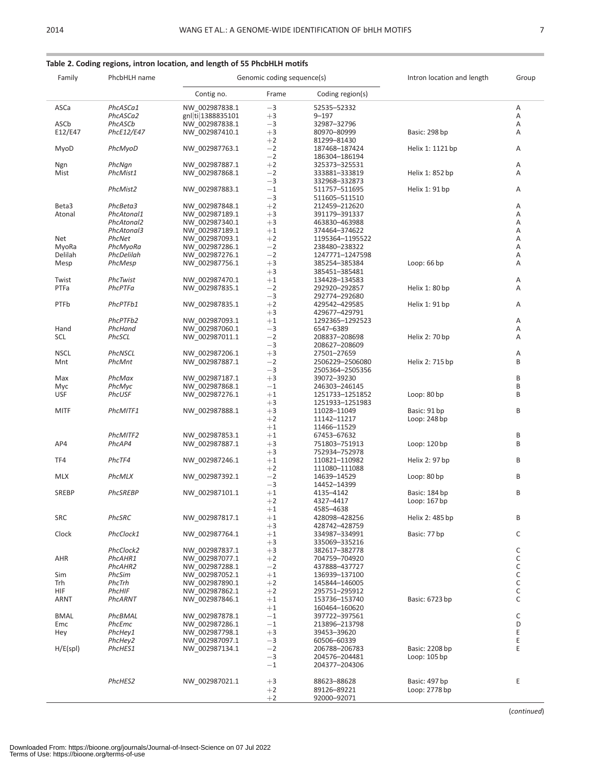| Family  | PhcbHLH name |                   | Genomic coding sequence(s) | Intron location and length | Group            |        |
|---------|--------------|-------------------|----------------------------|----------------------------|------------------|--------|
|         |              | Contig no.        | Frame                      | Coding region(s)           |                  |        |
| ASCa    | PhcASCa1     | NW 002987838.1    | $-3$                       | 52535-52332                |                  | Α      |
|         | PhcASCa2     | gnl ti 1388835101 | $+3$                       | 9–197                      |                  | Α      |
| ASCb    | PhcASCb      | NW 002987838.1    | $-3$                       | 32987-32796                |                  | Α      |
| E12/E47 | PhcE12/E47   | NW 002987410.1    | $+3$                       | 80970-80999                | Basic: 298 bp    | Α      |
|         |              |                   | $+2$                       | 81299-81430                |                  |        |
| MyoD    | PhcMyoD      | NW_002987763.1    | $-2$                       | 187468–187424              | Helix 1: 1121 bp | Α      |
|         |              |                   | $-2$                       | 186304-186194              |                  |        |
| Ngn     | PhcNgn       | NW 002987887.1    | $+2$                       | 325373–325531              |                  | Α      |
| Mist    | PhcMist1     | NW_002987868.1    | $-2$                       | 333881-333819              | Helix 1: 852 bp  | Α      |
|         |              |                   | $-3$                       | 332968–332873              |                  |        |
|         | PhcMist2     | NW_002987883.1    | $-1$                       | 511757–511695              | Helix 1: 91 bp   | Α      |
|         |              |                   | $-3$                       | 511605–511510              |                  |        |
| Beta3   | PhcBeta3     | NW 002987848.1    | $+2$                       | 212459-212620              |                  | Α      |
|         |              |                   | $+3$                       |                            |                  |        |
| Atonal  | PhcAtonal1   | NW_002987189.1    |                            | 391179-391337              |                  | Α      |
|         | PhcAtonal2   | NW 002987340.1    | $+3$                       | 463830–463988              |                  | Α      |
|         | PhcAtonal3   | NW_002987189.1    | $+1$                       | 374464–374622              |                  | Α      |
| Net     | PhcNet       | NW 002987093.1    | $+2$                       | 1195364-1195522            |                  | Α      |
| MyoRa   | PhcMyoRa     | NW 002987286.1    | $-2$                       | 238480-238322              |                  | Α      |
| Delilah | PhcDelilah   | NW_002987276.1    | $-2$                       | 1247771-1247598            |                  | Α      |
| Mesp    | PhcMesp      | NW_002987756.1    | $+3$                       | 385254-385384              | Loop: $66$ bp    | Α      |
|         |              |                   | $+3$                       | 385451-385481              |                  |        |
| Twist   | PhcTwist     | NW 002987470.1    | $+1$                       | 134428–134583              |                  | Α      |
| PTFa    | PhcPTFa      | NW_002987835.1    | $-2$                       | 292920-292857              | Helix 1: 80 bp   | Α      |
|         |              |                   | $-3$                       | 292774-292680              |                  |        |
| PTFb    | PhcPTFb1     | NW_002987835.1    | $+2$                       | 429542-429585              | Helix 1: 91 bp   | Α      |
|         |              |                   | $+3$                       | 429677-429791              |                  |        |
|         | PhcPTFb2     | NW 002987093.1    | $+1$                       | 1292365-1292523            |                  | Α      |
| Hand    | PhcHand      | NW 002987060.1    | $-3$                       | 6547-6389                  |                  | Α      |
| SCL     | PhcSCL       | NW_002987011.1    | $-2$                       | 208837-208698              | Helix 2: 70 bp   | Α      |
|         |              |                   | $-3$                       | 208627-208609              |                  |        |
| NSCL    | PhcNSCL      | NW 002987206.1    | $+3$                       | 27501-27659                |                  | Α      |
| Mnt     | PhcMnt       | NW_002987887.1    | $-2$                       | 2506229-2506080            | Helix 2: 715 bp  | B      |
|         |              |                   | $-3$                       | 2505364-2505356            |                  |        |
| Max     | PhcMax       | NW 002987187.1    | $+3$                       | 39072-39230                |                  | В      |
| Myc     | PhcMyc       | NW 002987868.1    | $^{-1}$                    | 246303-246145              |                  | B      |
| USF     | PhcUSF       | NW_002987276.1    | $+1$                       | 1251733-1251852            | Loop: 80 bp      | B      |
|         |              |                   | $+3$                       | 1251933-1251983            |                  |        |
|         | PhcMITF1     |                   |                            |                            |                  | B      |
| MITF    |              | NW_002987888.1    | $+3$                       | 11028-11049                | Basic: 91 bp     |        |
|         |              |                   | $+2$                       | 11142–11217                | Loop: 248 bp     |        |
|         |              |                   | $+1$                       | 11466-11529                |                  |        |
|         | PhcMITF2     | NW 002987853.1    | $+1$                       | 67453–67632                |                  | В      |
| AP4     | PhcAP4       | NW_002987887.1    | $+3$                       | 751803–751913              | Loop: 120 bp     | B      |
|         |              |                   | $+3$                       | 752934-752978              |                  |        |
| TF4     | PhcTF4       | NW 002987246.1    | $+1$                       | 110821-110982              | Helix 2: 97 bp   | B      |
|         |              |                   | $+2$                       | 111080-111088              |                  |        |
| MLX     | PhcMLX       | NW_002987392.1    | $-2$                       | 14639-14529                | Loop: 80 bp      | B      |
|         |              |                   | $-3$                       | 14452-14399                |                  |        |
| SREBP   | PhcSREBP     | NW_002987101.1    | $+1$                       | 4135-4142                  | Basic: 184 bp    | B      |
|         |              |                   | $+2$                       | 4327–4417                  | Loop: $167$ bp   |        |
|         |              |                   | $+1$                       | 4585-4638                  |                  |        |
| SRC     | PhcSRC       | NW_002987817.1    | $+1$                       | 428098-428256              | Helix 2: 485 bp  | B      |
|         |              |                   | $+3$                       | 428742–428759              |                  |        |
| Clock   | PhcClock1    | NW 002987764.1    | $+1$                       | 334987-334991              | Basic: 77 bp     | С      |
|         |              |                   | $+3$                       | 335069-335216              |                  |        |
|         | PhcClock2    | NW_002987837.1    | $+3$                       | 382617-382778              |                  | С      |
| AHR     | PhcAHR1      | NW 002987077.1    | $+2$                       | 704759-704920              |                  | C      |
|         | PhcAHR2      | NW 002987288.1    | $-2$                       | 437888–437727              |                  | C      |
| Sim     | PhcSim       | NW 002987052.1    | $+1$                       | 136939-137100              |                  | С      |
| Trh     | PhcTrh       | NW 002987890.1    | $+2$                       |                            |                  | C      |
|         |              |                   |                            | 145844-146005              |                  |        |
| HIF     | PhcHIF       | NW 002987862.1    | $+2$                       | 295751-295912              | Basic: 6723 bp   | С<br>C |
| ARNT    | PhcARNT      | NW_002987846.1    | $+1$                       | 153736-153740              |                  |        |

 $+1$ <br>  $-1$ <br>  $-1$ <br>  $397722 - 397561$ 

PhcHey1 NW\_002987798.1 +3 39453–39620<br>
PhcHey2 NW\_002987097.1 −3 60506–60339<br>
PhcHES1 NW\_002987134.1 −2 206788–206783 Basic: 2208 bp E PhcHey2 NW\_002987097.1 3 60506–60339 E

PhcHES2 NW\_002987021.1 +3 88623-88628 Basic: 497 bp E<br>
+2 89126-89221 Loop: 2778 bp

 $-3$  204576–204481 Loop: 105 bp<br>  $-1$  204377–204306

þ2 89126–89221 Loop: 2778 bp

1 204377–204306

þ2 92000–92071

BMAL PhcBMAL NW\_002987878.1 −1 397722–397561<br>Emc PhcEmc NW\_002987286.1 −1 213896–213798 D Emc PhcEmc NW\_002987286.1 1 213896–213798 D

H/E(spl) *PhcHES1* NW\_002987134.1 -2 206788–206783 Basic: 2208 bp E

## <span id="page-7-0"></span>Table 2. Coding regions, intron location, and length of 55 PhcbHLH motifs

(continued)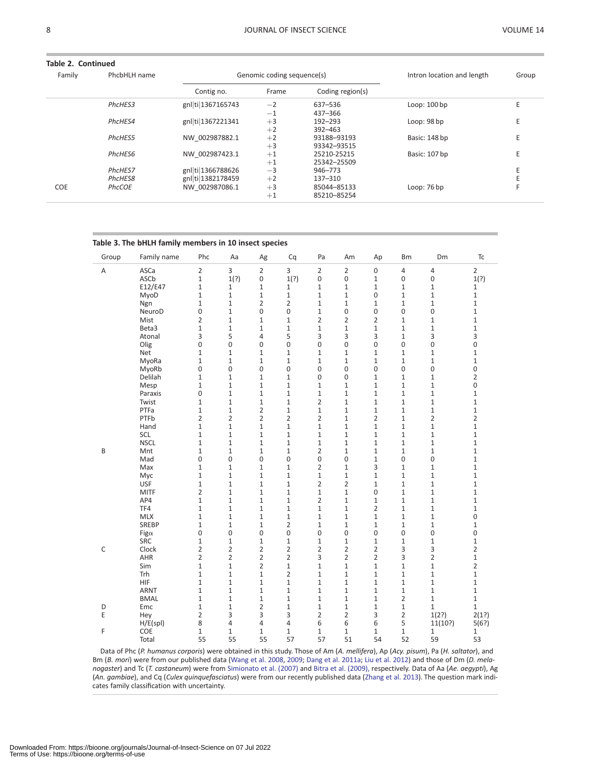<span id="page-8-0"></span>

| Table 2. Continued |              |                            |       |                  |                            |       |
|--------------------|--------------|----------------------------|-------|------------------|----------------------------|-------|
| Family             | PhcbHLH name | Genomic coding sequence(s) |       |                  | Intron location and length | Group |
|                    |              | Contig no.                 | Frame | Coding region(s) |                            |       |
|                    | PhcHES3      | gnl ti 1367165743          | $-2$  | 637-536          | Loop: 100 bp               |       |
|                    |              |                            | $-1$  | 437-366          |                            |       |
|                    | PhcHES4      | gnl ti 1367221341          | $+3$  | $192 - 293$      | Loop: 98 bp                |       |
|                    |              |                            | $+2$  | $392 - 463$      |                            |       |
|                    | PhcHES5      | NW 002987882.1             | $+2$  | 93188-93193      | Basic: 148 bp              |       |
|                    |              |                            | $+3$  | 93342-93515      |                            |       |
|                    | PhcHES6      | NW 002987423.1             | $+1$  | 25210-25215      | Basic: 107 bp              |       |
|                    |              |                            | $+1$  | 25342-25509      |                            |       |
|                    | PhcHES7      | gnl ti 1366788626          | $-3$  | 946-773          |                            |       |
|                    | PhcHES8      | gnl ti 1382178459          | $+2$  | 137-310          |                            |       |
| <b>COE</b>         | PhcCOE       | NW 002987086.1             | $+3$  | 85044-85133      | Loop: $76bp$               |       |
|                    |              |                            | $+1$  | 85210-85254      |                            |       |

#### Table 3. The bHLH family members in 10 insect species

| Group       | Family name        | Phc                 | Aa                           | Ag                               | Cq                           | Pa                             | Am                           | Ap                             | Bm                | Dm                | Tc                |
|-------------|--------------------|---------------------|------------------------------|----------------------------------|------------------------------|--------------------------------|------------------------------|--------------------------------|-------------------|-------------------|-------------------|
| Α           | ASCa               | $\overline{2}$      | 3                            | $\overline{2}$                   | 3                            | $\overline{2}$                 | $\overline{2}$               | $\mathsf 0$                    | 4                 | $\overline{4}$    | $\overline{2}$    |
|             | ASCb               | $\mathbf{1}$        | 1(?)                         | 0                                | 1(?)                         | 0                              | 0                            | $\mathbf{1}$                   | 0                 | 0                 | 1(?)              |
|             | E12/E47            | $\mathbf{1}$        | $\mathbf{1}$                 | $\mathbf{1}$                     | 1                            | $\mathbf{1}$                   | $\mathbf{1}$                 | $\mathbf{1}$                   | 1                 | 1                 | $\mathbf{1}$      |
|             | MyoD               | $\mathbf{1}$        | $\mathbf{1}$                 | $\mathbf{1}$                     | $\mathbf{1}$                 | $\mathbf{1}$                   | $\mathbf{1}$                 | 0                              | $\mathbf{1}$      | 1                 | 1                 |
|             | Ngn                | $\mathbf{1}$        | $\mathbf{1}$                 | $\overline{2}$                   | $\overline{2}$               | $\mathbf{1}$                   | $\mathbf{1}$                 | $\mathbf{1}$                   | $\mathbf{1}$      | 1                 | $\mathbf{1}$      |
|             | NeuroD             | 0                   | $\mathbf{1}$                 | 0                                | $\mathbf 0$                  | $\mathbf{1}$                   | 0                            | 0                              | 0                 | 0                 | 1                 |
|             | Mist               | $\overline{2}$      | $\mathbf{1}$                 | $\mathbf{1}$                     | $\mathbf{1}$                 | $\overline{2}$                 | $\overline{2}$               | $\overline{2}$                 | 1                 | 1                 | $\mathbf{1}$      |
|             | Beta3              | $\mathbf{1}$        | $\mathbf{1}$                 | $\mathbf{1}$                     | $\mathbf{1}$                 | $\mathbf{1}$                   | $\mathbf{1}$                 | $\mathbf{1}$                   | 1                 | $\mathbf{1}$      | $\mathbf 1$       |
|             | Atonal             | 3                   | 5                            | 4                                | 5                            | 3                              | 3                            | 3                              | $\mathbf{1}$      | 3                 | 3                 |
|             | Olig               | 0                   | 0                            | 0                                | $\mathbf 0$                  | 0                              | 0                            | 0                              | 0                 | 0                 | 0                 |
|             | Net                | $\mathbf{1}$        | $\mathbf{1}$                 | $\mathbf{1}$                     | $\mathbf{1}$                 | $\mathbf{1}$                   | $\mathbf{1}$                 | $\mathbf{1}$                   | 1                 | 1                 | $\mathbf 1$       |
|             | MyoRa              | $\mathbf{1}$        | $\mathbf{1}$                 | $\mathbf{1}$                     | $\mathbf{1}$                 | $\mathbf{1}$                   | $\mathbf{1}$                 | $\mathbf{1}$                   | 1                 | 1                 |                   |
|             | MyoRb              | 0                   | 0                            | 0                                | 0                            | 0                              | 0                            | 0                              | 0                 | 0                 | $\mathbf{1}$<br>0 |
|             | Delilah            |                     |                              | $\mathbf{1}$                     |                              | 0                              | 0                            | $\mathbf{1}$                   |                   |                   | $\overline{2}$    |
|             |                    | 1<br>$\mathbf{1}$   | $\mathbf{1}$<br>$\mathbf{1}$ | $\mathbf{1}$                     | $\mathbf{1}$<br>$\mathbf{1}$ | $\mathbf{1}$                   | $\mathbf{1}$                 | $\mathbf{1}$                   | 1<br>$\mathbf{1}$ | 1<br>$\mathbf{1}$ | 0                 |
|             | Mesp<br>Paraxis    | 0                   | $\mathbf{1}$                 | $\mathbf{1}$                     | $\mathbf{1}$                 | $\mathbf{1}$                   | $\mathbf{1}$                 | $\mathbf{1}$                   | $\mathbf{1}$      | $\mathbf{1}$      | $\mathbf{1}$      |
|             | Twist              | $\mathbf{1}$        | $\mathbf{1}$                 | $\mathbf{1}$                     | $\mathbf{1}$                 | $\overline{2}$                 | $\mathbf{1}$                 | $\mathbf{1}$                   | $\mathbf{1}$      | $\mathbf{1}$      | $\mathbf{1}$      |
|             | PTFa               |                     |                              |                                  |                              |                                |                              |                                |                   |                   |                   |
|             | PTFb               | 1<br>$\overline{2}$ | $\mathbf{1}$                 | $\overline{2}$<br>$\overline{2}$ | $\mathbf{1}$                 | 1<br>$\overline{2}$            | $\mathbf{1}$<br>$\mathbf{1}$ | $\mathbf{1}$<br>$\overline{2}$ | 1<br>1            | 1                 | $\mathbf{1}$      |
|             |                    |                     | 2                            |                                  | 2                            |                                | $\mathbf{1}$                 |                                |                   | 2                 | 2                 |
|             | Hand               | $\mathbf{1}$        | $\mathbf{1}$                 | $\mathbf 1$                      | $\mathbf{1}$                 | $\mathbf{1}$                   |                              | $\mathbf{1}$                   | 1                 | $\mathbf{1}$      | $\mathbf 1$       |
|             | SCL<br><b>NSCL</b> | $\mathbf{1}$        | $\mathbf 1$                  | $\mathbf 1$                      | $\mathbf{1}$                 | $\mathbf{1}$                   | $\mathbf{1}$                 | $1\,$                          | 1                 | 1                 | $\mathbf 1$       |
|             |                    | $\mathbf{1}$        | $\mathbf 1$                  | $\mathbf{1}$                     | $\mathbf 1$                  | $\mathbf{1}$<br>$\overline{2}$ | $\mathbf{1}$                 | $\mathbf{1}$                   | 1                 | 1                 | $\mathbf 1$       |
| B           | Mnt                | $\mathbf{1}$        | $\mathbf{1}$                 | $\mathbf{1}$                     | $\mathbf{1}$                 |                                | $\mathbf{1}$                 | $\mathbf{1}$                   | 1                 | 1                 | $\mathbf 1$       |
|             | Mad                | 0                   | 0                            | 0                                | 0                            | 0                              | 0                            | $\mathbf{1}$                   | 0                 | 0                 | $\mathbf 1$       |
|             | Max                | $\mathbf{1}$        | $\mathbf{1}$                 | 1                                | $\mathbf 1$                  | $\overline{2}$                 | $\mathbf{1}$                 | 3                              | 1                 | 1                 | $1\,$             |
|             | Myc                | $\mathbf{1}$        | $\mathbf{1}$                 | $\mathbf{1}$                     | $\mathbf{1}$                 | $\mathbf{1}$                   | $\mathbf{1}$                 | $\mathbf{1}$                   | $\mathbf{1}$      | $\mathbf{1}$      | $\mathbf{1}$      |
|             | <b>USF</b>         | $\mathbf{1}$        | $\mathbf{1}$                 | $\mathbf{1}$                     | $\mathbf{1}$                 | $\overline{2}$                 | $\overline{2}$               | $\mathbf{1}$                   | $\mathbf{1}$      | $\mathbf{1}$      | $\mathbf 1$       |
|             | <b>MITF</b>        | $\overline{2}$      | $\mathbf{1}$                 | $\mathbf{1}$                     | $\mathbf{1}$                 | $\mathbf{1}$                   | $\mathbf{1}$                 | 0                              | $\mathbf{1}$      | $\mathbf{1}$      | $\mathbf{1}$      |
|             | AP4                | $\mathbf{1}$        | $\mathbf{1}$                 | $\mathbf{1}$                     | $\mathbf{1}$                 | $\overline{2}$                 | $\mathbf{1}$                 | $\mathbf{1}$                   | 1                 | 1                 | $\mathbf{1}$      |
|             | TF4                | $\mathbf{1}$        | $\mathbf{1}$                 | $\mathbf{1}$                     | $\mathbf 1$                  | $\mathbf{1}$                   | $\mathbf{1}$                 | $\overline{2}$                 | 1                 | 1                 | $\mathbf{1}$      |
|             | <b>MLX</b>         | 1                   | $\mathbf{1}$                 | 1                                | $\mathbf{1}$                 | $\mathbf{1}$                   | $\mathbf{1}$                 | $\mathbf{1}$                   | 1                 | 1                 | 0                 |
|             | SREBP              | $\mathbf{1}$        | $\mathbf{1}$                 | $\mathbf{1}$                     | $\overline{2}$               | 1                              | $\mathbf{1}$                 | $\mathbf{1}$                   | 1                 | 1                 | $\mathbf{1}$      |
|             | Fig $\alpha$       | 0                   | 0                            | 0                                | 0                            | 0                              | 0                            | 0                              | 0                 | 0                 | 0                 |
|             | <b>SRC</b>         | $\mathbf{1}$        | $\mathbf{1}$                 | $\mathbf 1$                      | $\mathbf{1}$                 | $\mathbf{1}$                   | 1                            | $\mathbf{1}$                   | 1                 | 1                 | $\mathbf 1$       |
| $\mathsf C$ | Clock              | $\overline{2}$      | $\overline{2}$               | $\overline{2}$                   | $\overline{2}$               | $\overline{2}$                 | $\overline{2}$               | $\overline{2}$                 | 3                 | 3                 | $\overline{2}$    |
|             | AHR                | $\overline{2}$      | $\overline{2}$               | $\overline{2}$                   | $\overline{2}$               | 3                              | $\overline{2}$               | $\overline{2}$                 | 3                 | $\overline{2}$    | $\mathbf 1$       |
|             | Sim                | $\mathbf{1}$        | $\mathbf{1}$                 | $\overline{2}$                   | $\mathbf 1$                  | $\mathbf{1}$                   | $\mathbf{1}$                 | $\mathbf{1}$                   | $\mathbf{1}$      | $\mathbf{1}$      | $\overline{2}$    |
|             | Trh                | $1\,$               | $\mathbf{1}$                 | $\mathbf 1$                      | $\overline{2}$               | $\mathbf{1}$                   | $\mathbf{1}$                 | $\mathbf{1}$                   | $\mathbf{1}$      | $\mathbf{1}$      | $\mathbf 1$       |
|             | <b>HIF</b>         | $\mathbf{1}$        | $\mathbf{1}$                 | $\mathbf{1}$                     | $\mathbf{1}$                 | $\mathbf{1}$                   | $\mathbf{1}$                 | $\mathbf{1}$                   | $\mathbf{1}$      | $\mathbf{1}$      | $\mathbf{1}$      |
|             | <b>ARNT</b>        | $\mathbf{1}$        | $\mathbf{1}$                 | $\mathbf{1}$                     | $\mathbf{1}$                 | $\mathbf{1}$                   | $\mathbf{1}$                 | $\mathbf{1}$                   | $\mathbf{1}$      | 1                 | $\mathbf{1}$      |
|             | <b>BMAL</b>        | $\mathbf{1}$        | $\mathbf{1}$                 | $\mathbf{1}$                     | $\mathbf{1}$                 | $\mathbf{1}$                   | $\mathbf{1}$                 | $\mathbf{1}$                   | $\overline{2}$    | $\mathbf{1}$      | $\mathbf{1}$      |
| D           | Emc                | $\mathbf{1}$        | $\mathbf{1}$                 | $\overline{2}$                   | $\mathbf{1}$                 | $\mathbf{1}$                   | $\mathbf{1}$                 | $\mathbf{1}$                   | $\mathbf{1}$      | 1                 | $\mathbf{1}$      |
| E.          | Hey                | 2                   | 3                            | 3                                | 3                            | $\overline{2}$                 | $\overline{2}$               | 3                              | $\overline{2}$    | 1(2?)             | 2(1?)             |
|             | H/E(spl)           | 8                   | 4                            | 4                                | 4                            | 6                              | 6                            | 6                              | 5                 | 11(10?)           | 5(6?)             |
| F           | COE                | 1                   | 1                            | $\mathbf 1$                      | $\mathbf{1}$                 | $\mathbf{1}$                   | $\mathbf{1}$                 | $\mathbf{1}$                   | 1                 | 1                 | $\mathbf{1}$      |
|             | Total              | 55                  | 55                           | 55                               | 57                           | 57                             | 51                           | 54                             | 52                | 59                | 53                |

Data of Phc (P. humanus corporis) were obtained in this study. Those of Am (A. mellifera), Ap (Acy. pisum), Pa (H. saltator), and Bm (B. mori) were from our published data [\(Wang et al. 2008,](#page-10-0) [2009;](#page-10-0) [Dang et al. 2011a;](#page-10-0) [Liu et al. 2012](#page-10-0)) and those of Dm (D. melanogaster) and Tc (T. castaneum) were from [Simionato et al. \(2007\)](#page-10-0) and [Bitra et al. \(2009\),](#page-10-0) respectively. Data of Aa (Ae. aegypti), Ag (An. gambiae), and Cq (Culex quinquefasciatus) were from our recently published data [\(Zhang et al. 2013\)](#page-10-0). The question mark indicates family classification with uncertainty.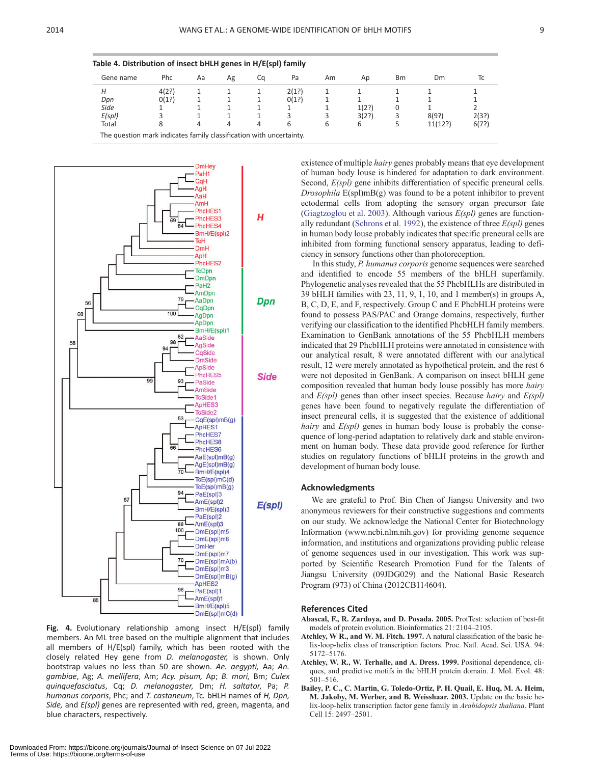<span id="page-9-0"></span>

| Gene name | Phc   | Aa | Ag | Ca | Pa    | Am | Ap    | <b>Bm</b> | Dm      | Тc    |
|-----------|-------|----|----|----|-------|----|-------|-----------|---------|-------|
| Н         | 4(2?) |    |    |    | 2(1?) |    |       |           |         |       |
| Dpn       | 0(1?) |    |    |    | O(1?) |    |       |           |         |       |
| Side      |       |    |    |    |       |    | 1(2?) | 0         |         |       |
| E(spI)    |       |    |    |    |       |    | 3(2?) | 3         | 8(9?)   | 2(3?) |
| Total     | 8     | 4  | 4  | 4  | 6     | 6  | 6     | ל         | 11(12?) | 6(7?) |



Fig. 4. Evolutionary relationship among insect H/E(spl) family members. An ML tree based on the multiple alignment that includes all members of H/E(spl) family, which has been rooted with the closely related Hey gene from D. melanogaster, is shown. Only bootstrap values no less than 50 are shown. Ae. aegypti, Aa; An. gambiae, Ag; A. mellifera, Am; Acy. pisum, Ap; B. mori, Bm; Culex quinquefasciatus, Cq; D. melanogaster, Dm; H. saltator, Pa; P. humanus corporis, Phc; and T. castaneum, Tc. bHLH names of H, Dpn, Side, and E(spl) genes are represented with red, green, magenta, and blue characters, respectively.

Downloaded From: https://bioone.org/journals/Journal-of-Insect-Science on 07 Jul 2022

existence of multiple *hairy* genes probably means that eye development of human body louse is hindered for adaptation to dark environment. Second,  $E(spl)$  gene inhibits differentiation of specific preneural cells. *Drosophila*  $E(\text{spl})mB(g)$  was found to be a potent inhibitor to prevent ectodermal cells from adopting the sensory organ precursor fate ([Giagtzoglou et al. 2003](#page-10-0)). Although various  $E(spl)$  genes are function-ally redundant ([Schrons et al. 1992\)](#page-10-0), the existence of three  $E(spl)$  genes in human body louse probably indicates that specific preneural cells are inhibited from forming functional sensory apparatus, leading to deficiency in sensory functions other than photoreception.

In this study, P. humanus corporis genome sequences were searched and identified to encode 55 members of the bHLH superfamily. Phylogenetic analyses revealed that the 55 PhcbHLHs are distributed in 39 bHLH families with 23, 11, 9, 1, 10, and 1 member(s) in groups A, B, C, D, E, and F, respectively. Group C and E PhcbHLH proteins were found to possess PAS/PAC and Orange domains, respectively, further verifying our classification to the identified PhcbHLH family members. Examination to GenBank annotations of the 55 PhcbHLH members indicated that 29 PhcbHLH proteins were annotated in consistence with our analytical result, 8 were annotated different with our analytical result, 12 were merely annotated as hypothetical protein, and the rest 6 were not deposited in GenBank. A comparison on insect bHLH gene composition revealed that human body louse possibly has more hairy and  $E(spl)$  genes than other insect species. Because *hairy* and  $E(spl)$ genes have been found to negatively regulate the differentiation of insect preneural cells, it is suggested that the existence of additional hairy and  $E(spl)$  genes in human body louse is probably the consequence of long-period adaptation to relatively dark and stable environment on human body. These data provide good reference for further studies on regulatory functions of bHLH proteins in the growth and development of human body louse.

#### Acknowledgments

We are grateful to Prof. Bin Chen of Jiangsu University and two anonymous reviewers for their constructive suggestions and comments on our study. We acknowledge the National Center for Biotechnology Information (<www.ncbi.nlm.nih.gov>) for providing genome sequence information, and institutions and organizations providing public release of genome sequences used in our investigation. This work was supported by Scientific Research Promotion Fund for the Talents of Jiangsu University (09JDG029) and the National Basic Research Program (973) of China (2012CB114604).

#### References Cited

- Abascal, F., R. Zardoya, and D. Posada. 2005. ProtTest: selection of best-fit models of protein evolution. Bioinformatics 21: 2104–2105.
- Atchley, W R., and W. M. Fitch. 1997. A natural classification of the basic helix-loop-helix class of transcription factors. Proc. Natl. Acad. Sci. USA. 94: 5172–5176.
- Atchley, W. R., W. Terhalle, and A. Dress. 1999. Positional dependence, cliques, and predictive motifs in the bHLH protein domain. J. Mol. Evol. 48: 501–516.
- Bailey, P. C., C. Martin, G. Toledo-Ortiz, P. H. Quail, E. Huq, M. A. Heim, M. Jakoby, M. Werber, and B. Weisshaar. 2003. Update on the basic helix-loop-helix transcription factor gene family in Arabidopsis thaliana. Plant Cell 15: 2497–2501.

Terms of Use: https://bioone.org/terms-of-use